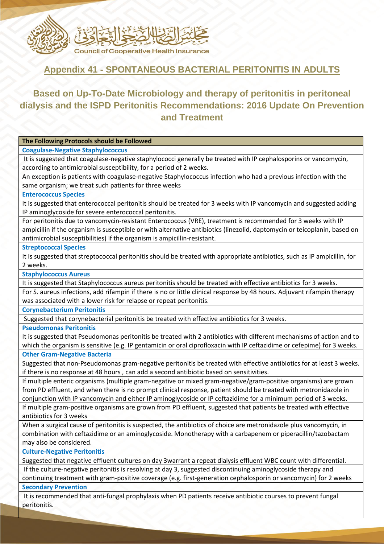

# **Appendix 41 - SPONTANEOUS BACTERIAL PERITONITIS IN ADULTS**

# **Based on Up-To-Date Microbiology and therapy of peritonitis in peritoneal dialysis and the ISPD Peritonitis Recommendations: 2016 Update On Prevention and Treatment**

## **The Following Protocols should be Followed**

**Coagulase-Negative Staphylococcus**

It is suggested that coagulase-negative staphylococci generally be treated with IP cephalosporins or vancomycin, according to antimicrobial susceptibility, for a period of 2 weeks.

An exception is patients with coagulase-negative Staphylococcus infection who had a previous infection with the same organism; we treat such patients for three weeks

### **Enterococcus Species**

It is suggested that enterococcal peritonitis should be treated for 3 weeks with IP vancomycin and suggested adding IP aminoglycoside for severe enterococcal peritonitis.

For peritonitis due to vancomycin-resistant Enterococcus (VRE), treatment is recommended for 3 weeks with IP ampicillin if the organism is susceptible or with alternative antibiotics (linezolid, daptomycin or teicoplanin, based on antimicrobial susceptibilities) if the organism is ampicillin-resistant.

#### **Streptococcal Species**

It is suggested that streptococcal peritonitis should be treated with appropriate antibiotics, such as IP ampicillin, for 2 weeks.

**Staphylococcus Aureus**

It is suggested that Staphylococcus aureus peritonitis should be treated with effective antibiotics for 3 weeks.

For S. aureus infections, add rifampin if there is no or little clinical response by 48 hours. Adjuvant rifampin therapy was associated with a lower risk for relapse or repeat peritonitis.

**Corynebacterium Peritonitis**

Suggested that corynebacterial peritonitis be treated with effective antibiotics for 3 weeks.

**Pseudomonas Peritonitis**

It is suggested that Pseudomonas peritonitis be treated with 2 antibiotics with different mechanisms of action and to which the organism is sensitive (e.g. IP gentamicin or oral ciprofloxacin with IP ceftazidime or cefepime) for 3 weeks. **Other Gram-Negative Bacteria**

Suggested that non-Pseudomonas gram-negative peritonitis be treated with effective antibiotics for at least 3 weeks. if there is no response at 48 hours , can add a second antibiotic based on sensitivities.

If multiple enteric organisms (multiple gram-negative or mixed gram-negative/gram-positive organisms) are grown from PD effluent, and when there is no prompt clinical response, patient should be treated with metronidazole in conjunction with IP vancomycin and either IP aminoglycoside or IP ceftazidime for a minimum period of 3 weeks.

If multiple gram-positive organisms are grown from PD effluent, suggested that patients be treated with effective antibiotics for 3 weeks

When a surgical cause of peritonitis is suspected, the antibiotics of choice are metronidazole plus vancomycin, in combination with ceftazidime or an aminoglycoside. Monotherapy with a carbapenem or piperacillin/tazobactam may also be considered.

**Culture-Negative Peritonitis**

Suggested that negative effluent cultures on day 3warrant a repeat dialysis effluent WBC count with differential.

If the culture-negative peritonitis is resolving at day 3, suggested discontinuing aminoglycoside therapy and

continuing treatment with gram-positive coverage (e.g. first-generation cephalosporin or vancomycin) for 2 weeks **Secondary Prevention**

It is recommended that anti-fungal prophylaxis when PD patients receive antibiotic courses to prevent fungal peritonitis.